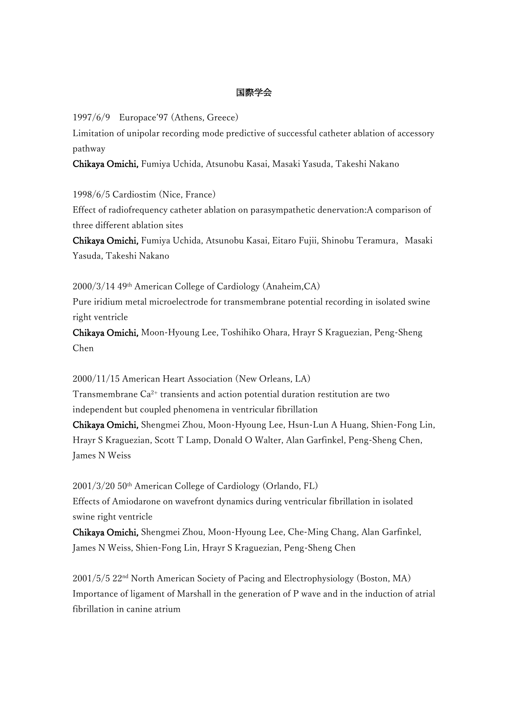## 国際学会

1997/6/9 Europace'97 (Athens, Greece)

Limitation of unipolar recording mode predictive of successful catheter ablation of accessory pathway

Chikaya Omichi, Fumiya Uchida, Atsunobu Kasai, Masaki Yasuda, Takeshi Nakano

1998/6/5 Cardiostim (Nice, France)

Effect of radiofrequency catheter ablation on parasympathetic denervation:A comparison of three different ablation sites

Chikaya Omichi, Fumiya Uchida, Atsunobu Kasai, Eitaro Fujii, Shinobu Teramura, Masaki Yasuda, Takeshi Nakano

2000/3/14 49th American College of Cardiology (Anaheim,CA) Pure iridium metal microelectrode for transmembrane potential recording in isolated swine right ventricle

Chikaya Omichi, Moon-Hyoung Lee, Toshihiko Ohara, Hrayr S Kraguezian, Peng-Sheng Chen

2000/11/15 American Heart Association (New Orleans, LA)

Transmembrane Ca2+ transients and action potential duration restitution are two independent but coupled phenomena in ventricular fibrillation

Chikaya Omichi, Shengmei Zhou, Moon-Hyoung Lee, Hsun-Lun A Huang, Shien-Fong Lin, Hrayr S Kraguezian, Scott T Lamp, Donald O Walter, Alan Garfinkel, Peng-Sheng Chen, James N Weiss

2001/3/20 50th American College of Cardiology (Orlando, FL) Effects of Amiodarone on wavefront dynamics during ventricular fibrillation in isolated swine right ventricle

Chikaya Omichi, Shengmei Zhou, Moon-Hyoung Lee, Che-Ming Chang, Alan Garfinkel, James N Weiss, Shien-Fong Lin, Hrayr S Kraguezian, Peng-Sheng Chen

2001/5/5 22nd North American Society of Pacing and Electrophysiology (Boston, MA) Importance of ligament of Marshall in the generation of P wave and in the induction of atrial fibrillation in canine atrium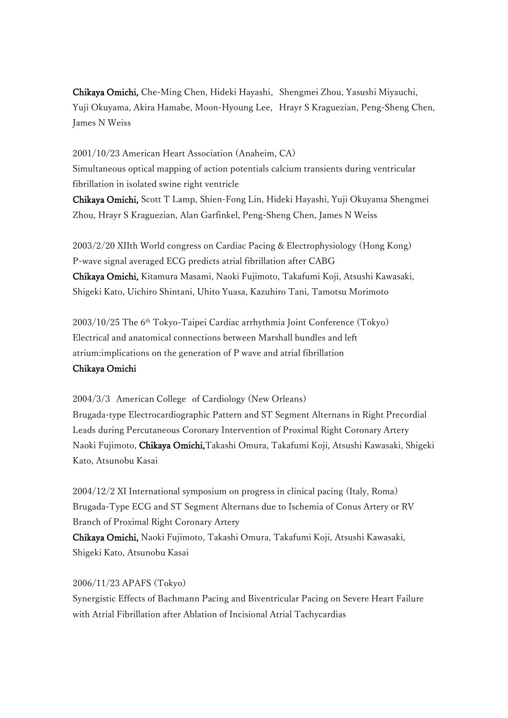Chikaya Omichi, Che-Ming Chen, Hideki Hayashi, Shengmei Zhou, Yasushi Miyauchi, Yuji Okuyama, Akira Hamabe, Moon-Hyoung Lee, Hrayr S Kraguezian, Peng-Sheng Chen, James N Weiss

2001/10/23 American Heart Association (Anaheim, CA) Simultaneous optical mapping of action potentials calcium transients during ventricular fibrillation in isolated swine right ventricle Chikaya Omichi, Scott T Lamp, Shien-Fong Lin, Hideki Hayashi, Yuji Okuyama Shengmei

Zhou, Hrayr S Kraguezian, Alan Garfinkel, Peng-Sheng Chen, James N Weiss

2003/2/20 XIIth World congress on Cardiac Pacing & Electrophysiology (Hong Kong) P-wave signal averaged ECG predicts atrial fibrillation after CABG Chikaya Omichi, Kitamura Masami, Naoki Fujimoto, Takafumi Koji, Atsushi Kawasaki, Shigeki Kato, Uichiro Shintani, Uhito Yuasa, Kazuhiro Tani, Tamotsu Morimoto

2003/10/25 The 6th Tokyo-Taipei Cardiac arrhythmia Joint Conference (Tokyo) Electrical and anatomical connections between Marshall bundles and left atrium:implications on the generation of P wave and atrial fibrillation Chikaya Omichi

## 2004/3/3 American College of Cardiology (New Orleans) Brugada-type Electrocardiographic Pattern and ST Segment Alternans in Right Precordial Leads during Percutaneous Coronary Intervention of Proximal Right Coronary Artery Naoki Fujimoto, Chikaya Omichi,Takashi Omura, Takafumi Koji, Atsushi Kawasaki, Shigeki Kato, Atsunobu Kasai

2004/12/2 XI International symposium on progress in clinical pacing (Italy, Roma) Brugada-Type ECG and ST Segment Alternans due to Ischemia of Conus Artery or RV Branch of Proximal Right Coronary Artery Chikaya Omichi, Naoki Fujimoto, Takashi Omura, Takafumi Koji, Atsushi Kawasaki, Shigeki Kato, Atsunobu Kasai

## 2006/11/23 APAFS (Tokyo)

Synergistic Effects of Bachmann Pacing and Biventricular Pacing on Severe Heart Failure with Atrial Fibrillation after Ablation of Incisional Atrial Tachycardias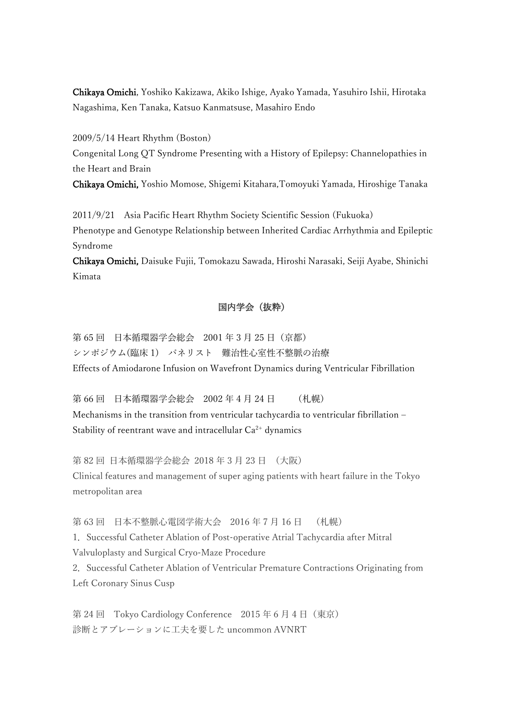Chikaya Omichi, Yoshiko Kakizawa, Akiko Ishige, Ayako Yamada, Yasuhiro Ishii, Hirotaka Nagashima, Ken Tanaka, Katsuo Kanmatsuse, Masahiro Endo

2009/5/14 Heart Rhythm (Boston) Congenital Long QT Syndrome Presenting with a History of Epilepsy: Channelopathies in the Heart and Brain

Chikaya Omichi, Yoshio Momose, Shigemi Kitahara,Tomoyuki Yamada, Hiroshige Tanaka

2011/9/21 Asia Pacific Heart Rhythm Society Scientific Session (Fukuoka) Phenotype and Genotype Relationship between Inherited Cardiac Arrhythmia and Epileptic Syndrome

Chikaya Omichi, Daisuke Fujii, Tomokazu Sawada, Hiroshi Narasaki, Seiji Ayabe, Shinichi Kimata

## 国内学会(抜粋)

第 65 回 日本循環器学会総会 2001 年 3 月 25 日(京都) シンポジウム(臨床 1) パネリスト 難治性心室性不整脈の治療 Effects of Amiodarone Infusion on Wavefront Dynamics during Ventricular Fibrillation

第 66 回 日本循環器学会総会 2002 年 4 月 24 日 (札幌) Mechanisms in the transition from ventricular tachycardia to ventricular fibrillation – Stability of reentrant wave and intracellular  $Ca^{2+}$  dynamics

第 82 回 日本循環器学会総会 2018 年 3 月 23 日 (大阪) Clinical features and management of super aging patients with heart failure in the Tokyo metropolitan area

第 63 回 日本不整脈心電図学術大会 2016 年 7 月 16 日 (札幌)

1.Successful Catheter Ablation of Post-operative Atrial Tachycardia after Mitral Valvuloplasty and Surgical Cryo-Maze Procedure

2. Successful Catheter Ablation of Ventricular Premature Contractions Originating from Left Coronary Sinus Cusp

第 24 回 Tokyo Cardiology Conference 2015 年 6 月 4 日 (東京) 診断とアブレーションに工夫を要した uncommon AVNRT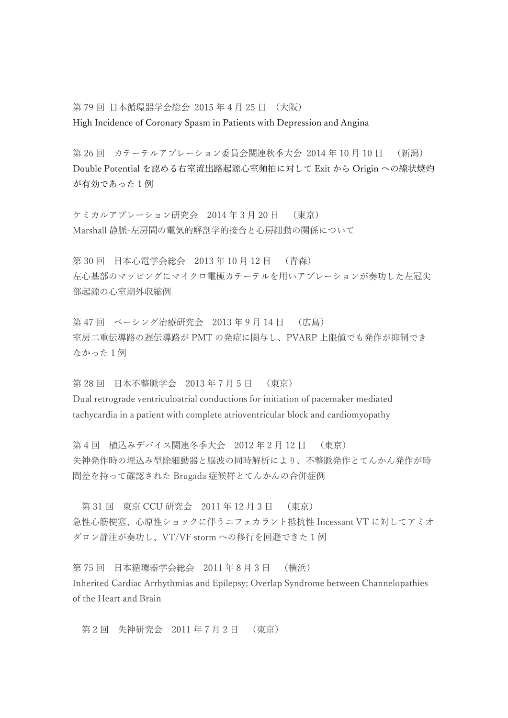第 79 回 日本循環器学会総会 2015 年 4 月 25 日 (大阪) High Incidence of Coronary Spasm in Patients with Depression and Angina

第 26 回 カテーテルアブレーション委員会関連秋季大会 2014 年 10 月 10 日 (新潟) Double Potential を認める右室流出路起源心室頻拍に対して Exit から Origin への線状焼灼 が有効であった1例

ケミカルアブレーション研究会 2014 年 3 月 20 日 (東京) Marshall 静脈-左房間の電気的解剖学的接合と心房細動の関係について

第 30 回 日本心電学会総会 2013 年 10 月 12 日 (青森) 左心基部のマッピングにマイクロ電極カテーテルを用いアブレーションが奏功した左冠尖 部起源の心室期外収縮例

第 47 回 ペーシング治療研究会 2013 年 9 月 14 日 (広島) 室房二重伝導路の遅伝導路が PMT の発症に関与し、PVARP 上限値でも発作が抑制でき なかった1例

第 28 回 日本不整脈学会 2013 年 7 月 5 日 (東京) Dual retrograde ventriculoatrial conductions for initiation of pacemaker mediated tachycardia in a patient with complete atrioventricular block and cardiomyopathy

第 4 回 植込みデバイス関連冬季大会 2012 年 2 月 12 日 (東京) 失神発作時の埋込み型除細動器と脳波の同時解析により、不整脈発作とてんかん発作が時 間差を持って確認された Brugada 症候群とてんかんの合併症例

第 31 回 東京 CCU 研究会 2011 年 12 月 3 日 (東京) 急性心筋梗塞、心原性ショックに伴うニフェカラント抵抗性 Incessant VT に対してアミオ ダロン静注が奏功し、VT/VF storm への移行を回避できた 1 例

第 75 回 日本循環器学会総会 2011 年 8 月 3 日 (横浜) Inherited Cardiac Arrhythmias and Epilepsy; Overlap Syndrome between Channelopathies of the Heart and Brain

第 2 回 失神研究会 2011 年 7 月 2 日 (東京)